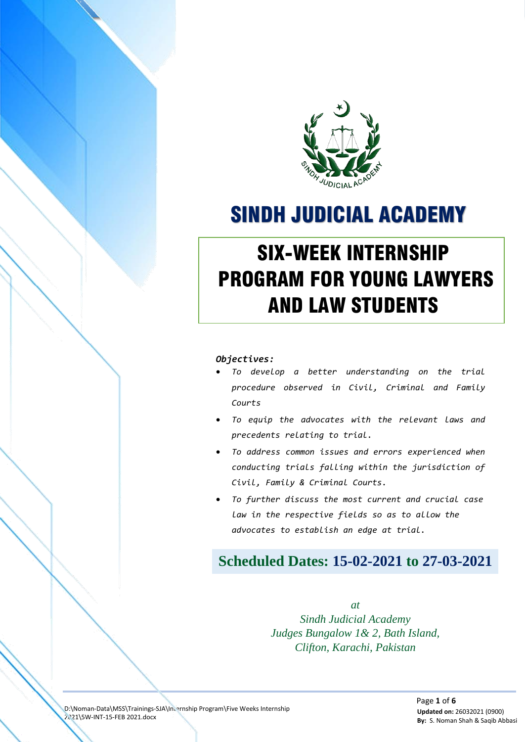

# SINDH JUDICIAL ACADEMY

# SIX-WEEK INTERNSHIP PROGRAM FOR YOUNG LAWYERS AND LAW STUDENTS

#### *Objectives:*

SIX-WEEK INTERNSHIP PROGRAM FOR YOUNG LAWYERS AND LAWYERS AND LAWYERS AND LAWYERS AND LAWYERS AND LAWYERS AND LAWYERS AND LAWYERS AND LAWYERS AND LAWYERS AND LAWYERS AND LAWYERS AND LAWYERS AND LAWYERS AND LAWYERS AND LAWY **THE INDEX SERVICE STATE OF THE INC.** 

- *To develop a better understanding on the trial procedure observed in Civil, Criminal and Family Courts*
- *To equip the advocates with the relevant laws and precedents relating to trial.*
- *To address common issues and errors experienced when conducting trials falling within the jurisdiction of Civil, Family & Criminal Courts.*
- *To further discuss the most current and crucial case law in the respective fields so as to allow the advocates to establish an edge at trial.*

# **Scheduled Dates: 15-02-2021 to 27-03-2021**

*at Sindh Judicial Academy Judges Bungalow 1& 2, Bath Island, Clifton, Karachi, Pakistan*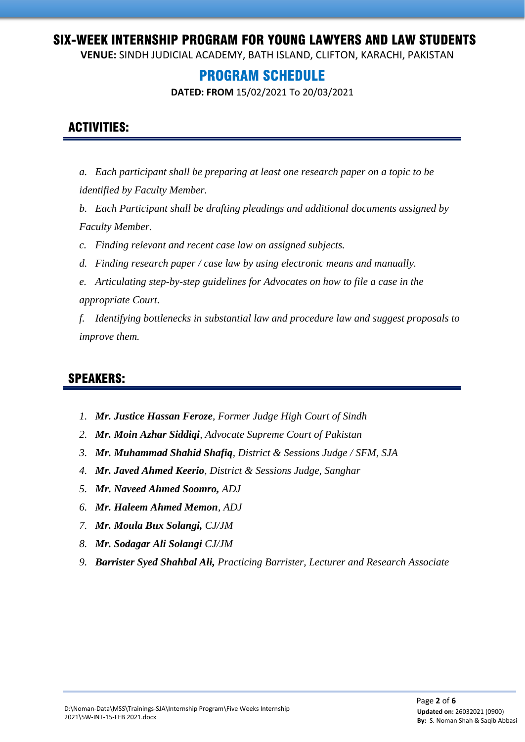**VENUE:** SINDH JUDICIAL ACADEMY, BATH ISLAND, CLIFTON, KARACHI, PAKISTAN

### PROGRAM SCHEDULE

**DATED: FROM** 15/02/2021 To 20/03/2021

#### ACTIVITIES:

- *a. Each participant shall be preparing at least one research paper on a topic to be identified by Faculty Member.*
- *b. Each Participant shall be drafting pleadings and additional documents assigned by Faculty Member.*

*c. Finding relevant and recent case law on assigned subjects.* 

- *d. Finding research paper / case law by using electronic means and manually.*
- *e. Articulating step-by-step guidelines for Advocates on how to file a case in the appropriate Court.*

*f. Identifying bottlenecks in substantial law and procedure law and suggest proposals to improve them.*

#### SPEAKERS:

- *1. Mr. Justice Hassan Feroze, Former Judge High Court of Sindh*
- *2. Mr. Moin Azhar Siddiqi, Advocate Supreme Court of Pakistan*
- *3. Mr. Muhammad Shahid Shafiq, District & Sessions Judge / SFM, SJA*
- *4. Mr. Javed Ahmed Keerio, District & Sessions Judge, Sanghar*
- *5. Mr. Naveed Ahmed Soomro, ADJ*
- *6. Mr. Haleem Ahmed Memon, ADJ*
- *7. Mr. Moula Bux Solangi, CJ/JM*
- *8. Mr. Sodagar Ali Solangi CJ/JM*
- *9. Barrister Syed Shahbal Ali, Practicing Barrister, Lecturer and Research Associate*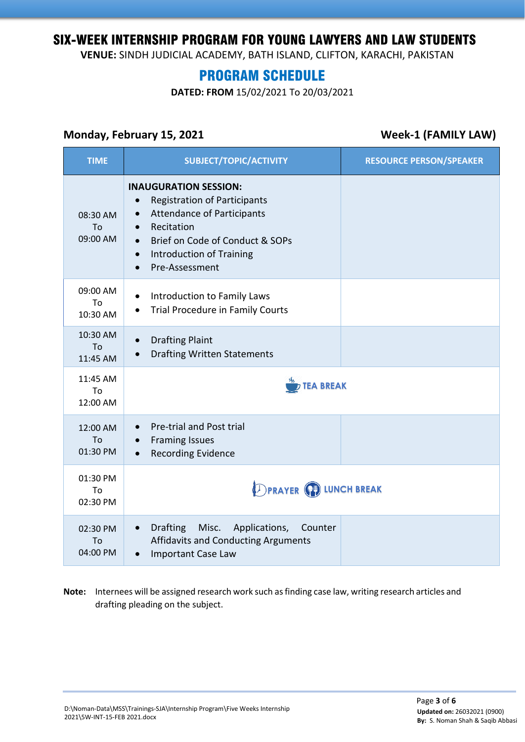**VENUE:** SINDH JUDICIAL ACADEMY, BATH ISLAND, CLIFTON, KARACHI, PAKISTAN

# PROGRAM SCHEDULE

**DATED: FROM** 15/02/2021 To 20/03/2021

#### **Monday, February 15, 2021 Week-1 (FAMILY LAW)**

| <b>TIME</b>                | <b>SUBJECT/TOPIC/ACTIVITY</b>                                                                                                                                                                                                                         | <b>RESOURCE PERSON/SPEAKER</b> |  |
|----------------------------|-------------------------------------------------------------------------------------------------------------------------------------------------------------------------------------------------------------------------------------------------------|--------------------------------|--|
| 08:30 AM<br>To<br>09:00 AM | <b>INAUGURATION SESSION:</b><br><b>Registration of Participants</b><br><b>Attendance of Participants</b><br>$\bullet$<br>Recitation<br>$\bullet$<br>Brief on Code of Conduct & SOPs<br><b>Introduction of Training</b><br>$\bullet$<br>Pre-Assessment |                                |  |
| 09:00 AM<br>To<br>10:30 AM | Introduction to Family Laws<br>Trial Procedure in Family Courts                                                                                                                                                                                       |                                |  |
| 10:30 AM<br>To<br>11:45 AM | <b>Drafting Plaint</b><br>$\bullet$<br><b>Drafting Written Statements</b><br>$\bullet$                                                                                                                                                                |                                |  |
| 11:45 AM<br>To<br>12:00 AM |                                                                                                                                                                                                                                                       | <b>TEA BREAK</b>               |  |
| 12:00 AM<br>To<br>01:30 PM | <b>Pre-trial and Post trial</b><br><b>Framing Issues</b><br>$\bullet$<br><b>Recording Evidence</b>                                                                                                                                                    |                                |  |
| 01:30 PM<br>Tο<br>02:30 PM | <b>DPRAYER (P) LUNCH BREAK</b>                                                                                                                                                                                                                        |                                |  |
| 02:30 PM<br>To<br>04:00 PM | <b>Drafting</b><br>Misc.<br>Applications,<br>Counter<br>$\bullet$<br>Affidavits and Conducting Arguments<br>Important Case Law                                                                                                                        |                                |  |

**Note:** Internees will be assigned research work such as finding case law, writing research articles and drafting pleading on the subject.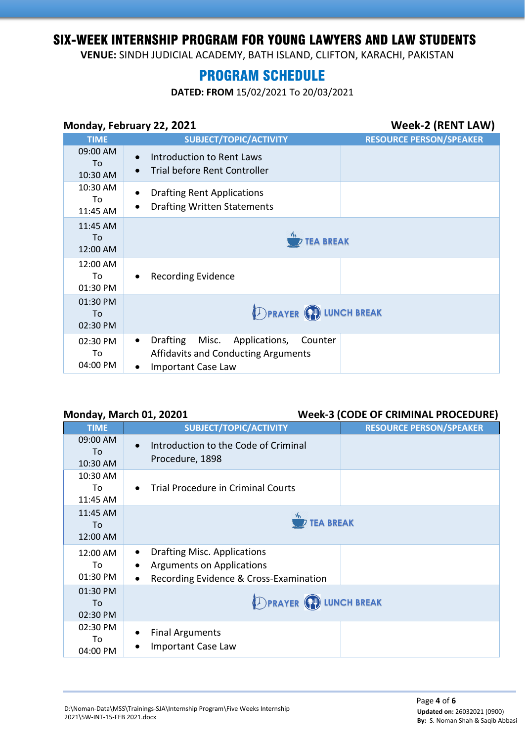**VENUE:** SINDH JUDICIAL ACADEMY, BATH ISLAND, CLIFTON, KARACHI, PAKISTAN

# PROGRAM SCHEDULE

**DATED: FROM** 15/02/2021 To 20/03/2021

#### **Monday, February 22, 2021 Week-2 (RENT LAW)**

| <b>TIME</b>                | <b>SUBJECT/TOPIC/ACTIVITY</b>                                                                                                 | <b>RESOURCE PERSON/SPEAKER</b> |  |
|----------------------------|-------------------------------------------------------------------------------------------------------------------------------|--------------------------------|--|
| 09:00 AM<br>To<br>10:30 AM | Introduction to Rent Laws<br>$\bullet$<br><b>Trial before Rent Controller</b>                                                 |                                |  |
| 10:30 AM<br>To<br>11:45 AM | <b>Drafting Rent Applications</b><br>٠<br><b>Drafting Written Statements</b><br>$\bullet$                                     |                                |  |
| 11:45 AM<br>To<br>12:00 AM |                                                                                                                               | <b>TEA BREAK</b>               |  |
| 12:00 AM<br>To<br>01:30 PM | <b>Recording Evidence</b><br>$\bullet$                                                                                        |                                |  |
| 01:30 PM<br>To<br>02:30 PM | <b>DPRAYER CD LUNCH BREAK</b>                                                                                                 |                                |  |
| 02:30 PM<br>To<br>04:00 PM | Drafting Misc. Applications,<br>Counter<br>$\bullet$<br><b>Affidavits and Conducting Arguments</b><br>Important Case Law<br>٠ |                                |  |

#### **Monday, March 01, 20201 Week-3 (CODE OF CRIMINAL PROCEDURE)**

| ,,<br><b>TIME</b>          | SUBJECT/TOPIC/ACTIVITY                                                                                                                     | <b>RESOURCE PERSON/SPEAKER</b> |  |
|----------------------------|--------------------------------------------------------------------------------------------------------------------------------------------|--------------------------------|--|
| 09:00 AM<br>To<br>10:30 AM | Introduction to the Code of Criminal<br>Procedure, 1898                                                                                    |                                |  |
| 10:30 AM<br>To<br>11:45 AM | <b>Trial Procedure in Criminal Courts</b>                                                                                                  |                                |  |
| 11:45 AM<br>To<br>12:00 AM |                                                                                                                                            | <b>TEA BREAK</b>               |  |
| 12:00 AM<br>To<br>01:30 PM | <b>Drafting Misc. Applications</b><br>$\bullet$<br><b>Arguments on Applications</b><br>Recording Evidence & Cross-Examination<br>$\bullet$ |                                |  |
| 01:30 PM<br>To<br>02:30 PM | <b>DPRAYER (P) LUNCH BREAK</b>                                                                                                             |                                |  |
| 02:30 PM<br>To<br>04:00 PM | <b>Final Arguments</b><br><b>Important Case Law</b>                                                                                        |                                |  |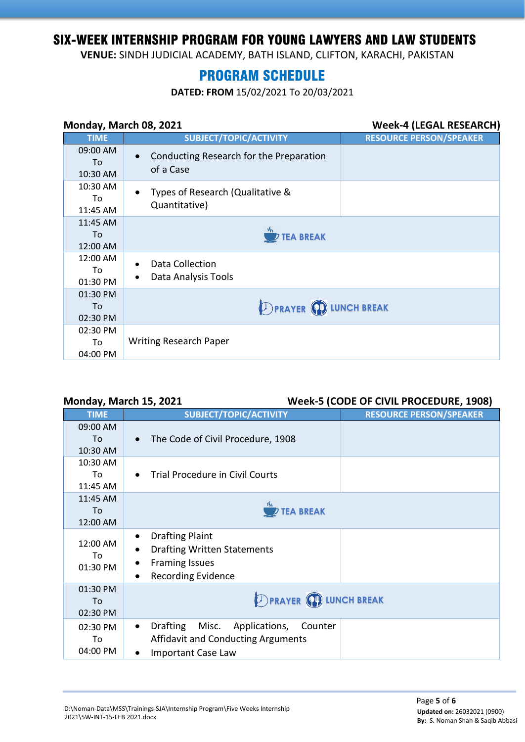**VENUE:** SINDH JUDICIAL ACADEMY, BATH ISLAND, CLIFTON, KARACHI, PAKISTAN

## PROGRAM SCHEDULE

**DATED: FROM** 15/02/2021 To 20/03/2021

| Monday, March 08, 2021     |                                                                | <b>Week-4 (LEGAL RESEARCH)</b> |
|----------------------------|----------------------------------------------------------------|--------------------------------|
| <b>TIME</b>                | SUBJECT/TOPIC/ACTIVITY                                         | <b>RESOURCE PERSON/SPEAKER</b> |
| 09:00 AM<br>To<br>10:30 AM | Conducting Research for the Preparation<br>of a Case           |                                |
| 10:30 AM<br>To<br>11:45 AM | Types of Research (Qualitative &<br>$\bullet$<br>Quantitative) |                                |
| 11:45 AM<br>To<br>12:00 AM | <b>TEA BREAK</b>                                               |                                |
| 12:00 AM<br>To<br>01:30 PM | Data Collection<br>Data Analysis Tools<br>٠                    |                                |
| 01:30 PM<br>To<br>02:30 PM | <b>DPRAYER CD LUNCH BREAK</b>                                  |                                |
| 02:30 PM<br>To<br>04:00 PM | <b>Writing Research Paper</b>                                  |                                |

#### **Monday, March 15, 2021 Week-5 (CODE OF CIVIL PROCEDURE, 1908)**

| <b>TIME</b>                | SUBJECT/TOPIC/ACTIVITY                                                                                                                                                 | <b>RESOURCE PERSON/SPEAKER</b> |
|----------------------------|------------------------------------------------------------------------------------------------------------------------------------------------------------------------|--------------------------------|
| 09:00 AM<br>To<br>10:30 AM | The Code of Civil Procedure, 1908                                                                                                                                      |                                |
| 10:30 AM<br>To<br>11:45 AM | <b>Trial Procedure in Civil Courts</b><br>$\bullet$                                                                                                                    |                                |
| 11:45 AM<br>To<br>12:00 AM | <b>TEA BREAK</b>                                                                                                                                                       |                                |
| 12:00 AM<br>To<br>01:30 PM | <b>Drafting Plaint</b><br>$\bullet$<br><b>Drafting Written Statements</b><br>$\bullet$<br><b>Framing Issues</b><br>$\bullet$<br><b>Recording Evidence</b><br>$\bullet$ |                                |
| 01:30 PM<br>To<br>02:30 PM | <b>DPRAYER (P) LUNCH BREAK</b>                                                                                                                                         |                                |
| 02:30 PM<br>To<br>04:00 PM | <b>Drafting</b><br>Misc. Applications,<br>Counter<br>$\bullet$<br><b>Affidavit and Conducting Arguments</b><br><b>Important Case Law</b><br>٠                          |                                |